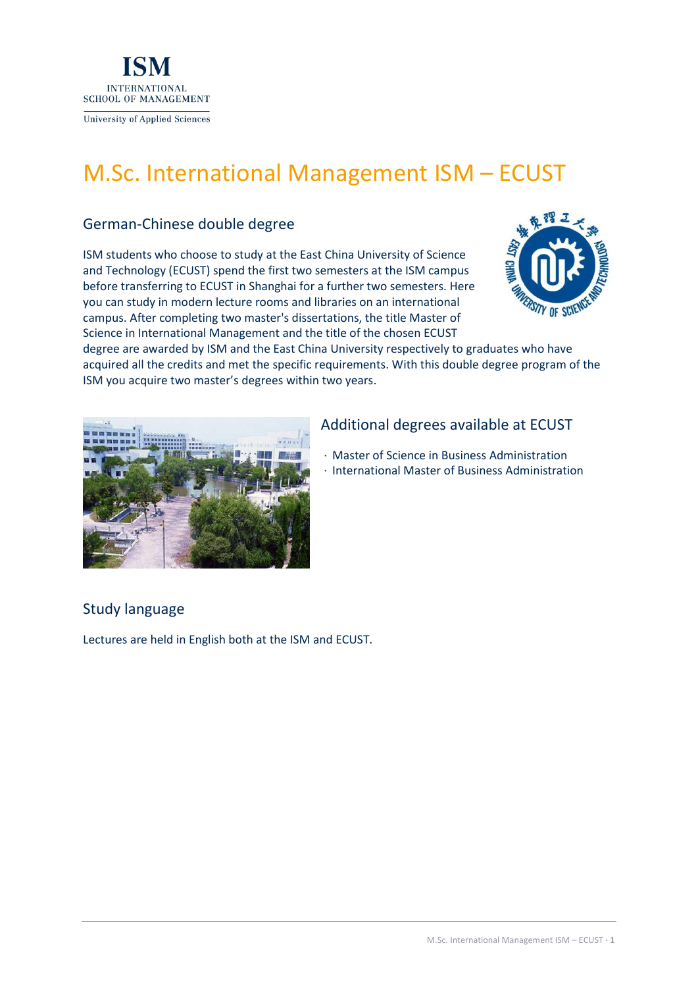

# M.Sc. International Management ISM – ECUST

## German-Chinese double degree

ISM students who choose to study at the East China University of Science and Technology (ECUST) spend the first two semesters at the ISM campus before transferring to ECUST in Shanghai for a further two semesters. Here you can study in modern lecture rooms and libraries on an international campus. After completing two master's dissertations, the title Master of Science in International Management and the title of the chosen ECUST



degree are awarded by ISM and the East China University respectively to graduates who have acquired all the credits and met the specific requirements. With this double degree program of the ISM you acquire two master's degrees within two years.



## Additional degrees available at ECUST

- · Master of Science in Business Administration
- · International Master of Business Administration

## Study language

Lectures are held in English both at the ISM and ECUST.